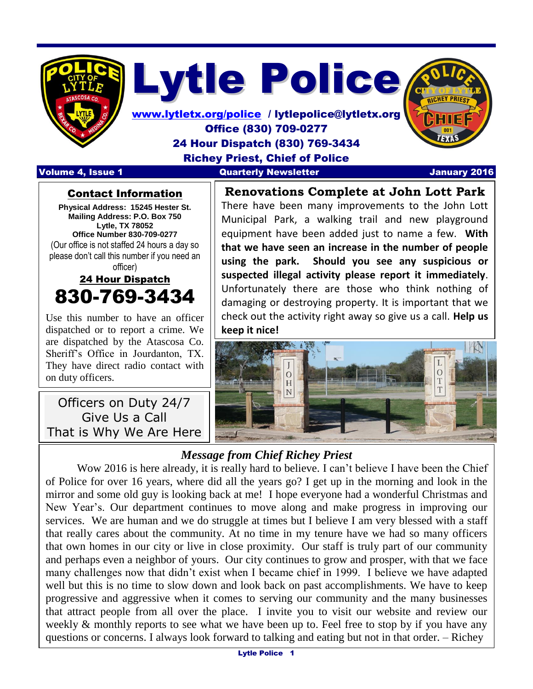

Lytle Police

[www.lytletx.org/police](http://www.lytletx.org/police) / lytlepolice@lytletx.org Office (830) 709-0277 24 Hour Dispatch (830) 769-3434 Richey Priest, Chief of Police Volume 4, Issue 1 **Quarterly Newsletter** Memories 1 January 2016

 I

#### Contact Information

**Physical Address: 15245 Hester St. Mailing Address: P.O. Box 750 Lytle, TX 78052 Office Number 830-709-0277** (Our office is not staffed 24 hours a day so please don't call this number if you need an officer)

## 24 Hour Dispatch 830-769-3434

Use this number to have an officer dispatched or to report a crime. We are dispatched by the Atascosa Co. Sheriff's Office in Jourdanton, TX. They have direct radio contact with on duty officers.

Officers on Duty 24/7 Give Us a Call That is Why We Are Here

**Renovations Complete at John Lott Park** There have been many improvements to the John Lott Municipal Park, a walking trail and new playground equipment have been added just to name a few. **With that we have seen an increase in the number of people using the park. Should you see any suspicious or suspected illegal activity please report it immediately**. Unfortunately there are those who think nothing of damaging or destroying property. It is important that we check out the activity right away so give us a call. **Help us keep it nice!**



### *Message from Chief Richey Priest*

Wow 2016 is here already, it is really hard to believe. I can't believe I have been the Chief of Police for over 16 years, where did all the years go? I get up in the morning and look in the mirror and some old guy is looking back at me! I hope everyone had a wonderful Christmas and New Year's. Our department continues to move along and make progress in improving our services. We are human and we do struggle at times but I believe I am very blessed with a staff that really cares about the community. At no time in my tenure have we had so many officers that own homes in our city or live in close proximity. Our staff is truly part of our community and perhaps even a neighbor of yours. Our city continues to grow and prosper, with that we face many challenges now that didn't exist when I became chief in 1999. I believe we have adapted well but this is no time to slow down and look back on past accomplishments. We have to keep progressive and aggressive when it comes to serving our community and the many businesses that attract people from all over the place. I invite you to visit our website and review our weekly & monthly reports to see what we have been up to. Feel free to stop by if you have any questions or concerns. I always look forward to talking and eating but not in that order. – Richey